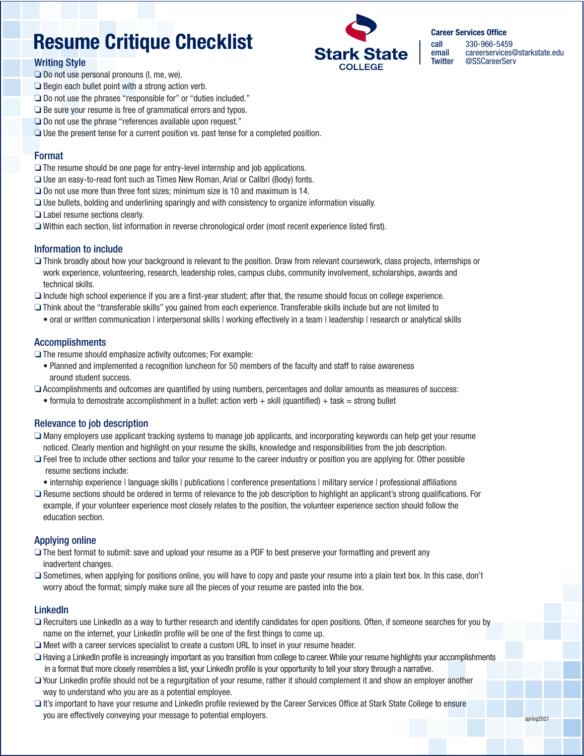# Resume Critique Checklist

# Writing Style



call 330-966-5459<br>
email careerservices email careerservices@starkstate.edu<br>Twitter @SSCareerServ @SSCareerServ

Career Services Office

- $\Box$  Do not use personal pronouns (I, me, we).
- $\Box$  Begin each bullet point with a strong action verb.
- $\Box$  Do not use the phrases "responsible for" or "duties included."
- $\Box$  Be sure your resume is free of grammatical errors and typos.
- $\Box$  Do not use the phrase "references available upon request."
- $\Box$  Use the present tense for a current position vs. past tense for a completed position.

# Format

- $\Box$  The resume should be one page for entry-level internship and job applications.
- $\Box$  Use an easy-to-read font such as Times New Roman, Arial or Calibri (Body) fonts.
- $\Box$  Do not use more than three font sizes; minimum size is 10 and maximum is 14.
- $\Box$  Use bullets, bolding and underlining sparingly and with consistency to organize information visually.
- $\Box$  Label resume sections clearly.
- $\Box$  Within each section, list information in reverse chronological order (most recent experience listed first).

## Information to include

- $\Box$  Think broadly about how your background is relevant to the position. Draw from relevant coursework, class projects, internships or work experience, volunteering, research, leadership roles, campus clubs, community involvement, scholarships, awards and technical skills.
- $\Box$  Include high school experience if you are a first-year student; after that, the resume should focus on college experience.
- $\Box$  Think about the "transferable skills" you gained from each experience. Transferable skills include but are not limited to
	- oral or written communication | interpersonal skills | working effectively in a team | leadership | research or analytical skills

# Accomplishments

- $\Box$  The resume should emphasize activity outcomes; For example:
	- Planned and implemented a recognition luncheon for 50 members of the faculty and staff to raise awareness around student success.
- $\Box$  Accomplishments and outcomes are quantified by using numbers, percentages and dollar amounts as measures of success:
	- formula to demostrate accomplishment in a bullet: action verb  $+$  skill (quantified)  $+$  task  $=$  strong bullet

# Relevance to job description

- $\Box$  Many employers use applicant tracking systems to manage job applicants, and incorporating keywords can help get your resume noticed. Clearly mention and highlight on your resume the skills, knowledge and responsibilities from the job description.
- $\Box$  Feel free to include other sections and tailor your resume to the career industry or position you are applying for. Other possible resume sections include:
	- internship experience | language skills | publications | conference presentations | military service | professional affiliations
- $\Box$  Resume sections should be ordered in terms of relevance to the job description to highlight an applicant's strong qualifications. For example, if your volunteer experience most closely relates to the position, the volunteer experience section should follow the education section.

# Applying online

- $\Box$  The best format to submit: save and upload your resume as a PDF to best preserve your formatting and prevent any inadvertent changes.
- $\Box$  Sometimes, when applying for positions online, you will have to copy and paste your resume into a plain text box. In this case, don't worry about the format; simply make sure all the pieces of your resume are pasted into the box.

# **LinkedIn**

- $\Box$  Recruiters use LinkedIn as a way to further research and identify candidates for open positions. Often, if someone searches for you by name on the internet, your LinkedIn profile will be one of the first things to come up.
- $\Box$  Meet with a career services specialist to create a custom URL to inset in your resume header.
- $\Box$  Having a LinkedIn profile is increasingly important as you transition from college to career. While your resume highlights your accomplishments in a format that more closely resembles a list, your LinkedIn profile is your opportunity to tell your story through a narrative.
- $\Box$  Your LinkedIn profile should not be a regurgitation of your resume, rather it should complement it and show an employer another way to understand who you are as a potential employee.
- o It's important to have your resume and LinkedIn profile reviewed by the Career Services Office at Stark State College to ensure you are effectively conveying your message to potential employers.